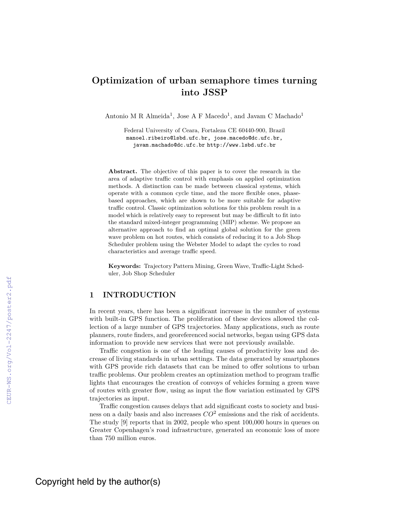# **Optimization of urban semaphore times turning into JSSP**

Antonio M R Almeida<sup>1</sup>, Jose A F Macedo<sup>1</sup>, and Javam C Machado<sup>1</sup>

Federal University of Ceara, Fortaleza CE 60440-900, Brazil manoel.ribeiro@lsbd.ufc.br, jose.macedo@dc.ufc.br, javam.machado@dc.ufc.br http://www.lsbd.ufc.br

**Abstract.** The objective of this paper is to cover the research in the area of adaptive traffic control with emphasis on applied optimization methods. A distinction can be made between classical systems, which operate with a common cycle time, and the more flexible ones, phasebased approaches, which are shown to be more suitable for adaptive traffic control. Classic optimization solutions for this problem result in a model which is relatively easy to represent but may be difficult to fit into the standard mixed-integer programming (MIP) scheme. We propose an alternative approach to find an optimal global solution for the green wave problem on hot routes, which consists of reducing it to a Job Shop Scheduler problem using the Webster Model to adapt the cycles to road characteristics and average traffic speed.

**Keywords:** Trajectory Pattern Mining, Green Wave, Traffic-Light Scheduler, Job Shop Scheduler

# **1 INTRODUCTION**

In recent years, there has been a significant increase in the number of systems with built-in GPS function. The proliferation of these devices allowed the collection of a large number of GPS trajectories. Many applications, such as route planners, route finders, and georeferenced social networks, began using GPS data information to provide new services that were not previously available.

Traffic congestion is one of the leading causes of productivity loss and decrease of living standards in urban settings. The data generated by smartphones with GPS provide rich datasets that can be mined to offer solutions to urban traffic problems. Our problem creates an optimization method to program traffic lights that encourages the creation of convoys of vehicles forming a green wave of routes with greater flow, using as input the flow variation estimated by GPS trajectories as input.

Traffic congestion causes delays that add significant costs to society and business on a daily basis and also increases *CO*<sup>2</sup> emissions and the risk of accidents. The study [9] reports that in 2002, people who spent 100,000 hours in queues on Greater Copenhagen's road infrastructure, generated an economic loss of more than 750 million euros.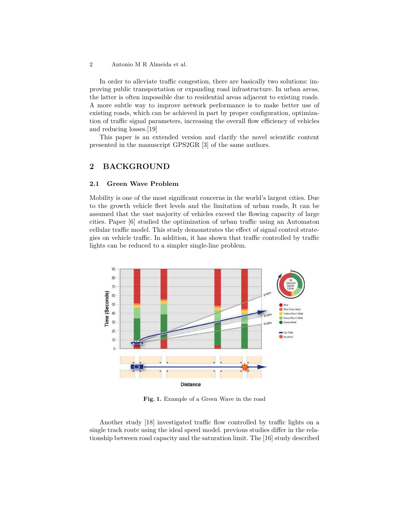In order to alleviate traffic congestion, there are basically two solutions: improving public transportation or expanding road infrastructure. In urban areas, the latter is often impossible due to residential areas adjacent to existing roads. A more subtle way to improve network performance is to make better use of existing roads, which can be achieved in part by proper configuration, optimization of traffic signal parameters, increasing the overall flow efficiency of vehicles and reducing losses.[19]

This paper is an extended version and clarify the novel scientific content presented in the manuscript GPS2GR [3] of the same authors.

# **2 BACKGROUND**

### **2.1 Green Wave Problem**

Mobility is one of the most significant concerns in the world's largest cities. Due to the growth vehicle fleet levels and the limitation of urban roads, It can be assumed that the vast majority of vehicles exceed the flowing capacity of large cities. Paper [6] studied the optimization of urban traffic using an Automaton cellular traffic model. This study demonstrates the effect of signal control strategies on vehicle traffic. In addition, it has shown that traffic controlled by traffic lights can be reduced to a simpler single-line problem.



**Fig. 1.** Example of a Green Wave in the road

Another study [18] investigated traffic flow controlled by traffic lights on a single track route using the ideal speed model. previous studies differ in the relationship between road capacity and the saturation limit. The [16] study described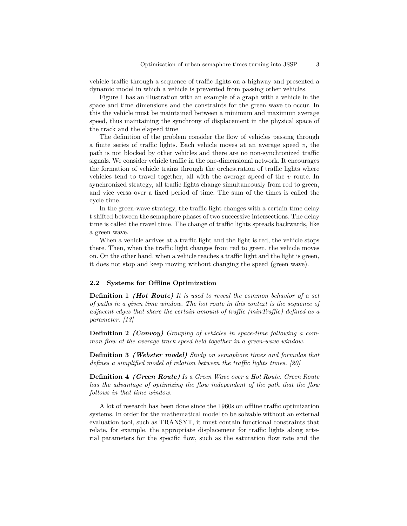vehicle traffic through a sequence of traffic lights on a highway and presented a dynamic model in which a vehicle is prevented from passing other vehicles.

Figure 1 has an illustration with an example of a graph with a vehicle in the space and time dimensions and the constraints for the green wave to occur. In this the vehicle must be maintained between a minimum and maximum average speed, thus maintaining the synchrony of displacement in the physical space of the track and the elapsed time

The definition of the problem consider the flow of vehicles passing through a finite series of traffic lights. Each vehicle moves at an average speed  $v$ , the path is not blocked by other vehicles and there are no non-synchronized traffic signals. We consider vehicle traffic in the one-dimensional network. It encourages the formation of vehicle trains through the orchestration of traffic lights where vehicles tend to travel together, all with the average speed of the *v* route. In synchronized strategy, all traffic lights change simultaneously from red to green, and vice versa over a fixed period of time. The sum of the times is called the cycle time.

In the green-wave strategy, the traffic light changes with a certain time delay t shifted between the semaphore phases of two successive intersections. The delay time is called the travel time. The change of traffic lights spreads backwards, like a green wave.

When a vehicle arrives at a traffic light and the light is red, the vehicle stops there. Then, when the traffic light changes from red to green, the vehicle moves on. On the other hand, when a vehicle reaches a traffic light and the light is green, it does not stop and keep moving without changing the speed (green wave).

#### **2.2 Systems for Offline Optimization**

**Definition 1** *(Hot Route) It is used to reveal the common behavior of a set of paths in a given time window. The hot route in this context is the sequence of adjacent edges that share the certain amount of traffic (minTraffic) defined as a parameter. [13]*

**Definition 2** *(Convoy) Grouping of vehicles in space-time following a common flow at the average track speed held together in a green-wave window.*

**Definition 3** *(Webster model) Study on semaphore times and formulas that defines a simplified model of relation between the traffic lights times. [20]*

**Definition 4** *(Green Route) Is a Green Wave over a Hot Route. Green Route has the advantage of optimizing the flow independent of the path that the flow follows in that time window.*

A lot of research has been done since the 1960s on offline traffic optimization systems. In order for the mathematical model to be solvable without an external evaluation tool, such as TRANSYT, it must contain functional constraints that relate, for example. the appropriate displacement for traffic lights along arterial parameters for the specific flow, such as the saturation flow rate and the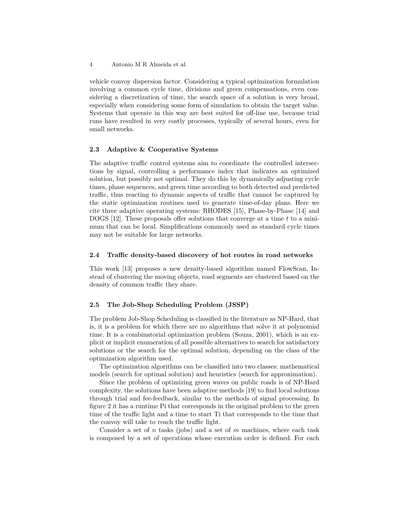vehicle convoy dispersion factor. Considering a typical optimization formulation involving a common cycle time, divisions and green compensations, even considering a discretization of time, the search space of a solution is very broad, especially when considering some form of simulation to obtain the target value. Systems that operate in this way are best suited for off-line use, because trial runs have resulted in very costly processes, typically of several hours, even for small networks.

# **2.3 Adaptive & Cooperative Systems**

The adaptive traffic control systems aim to coordinate the controlled intersections by signal, controlling a performance index that indicates an optimized solution, but possibly not optimal. They do this by dynamically adjusting cycle times, phase sequences, and green time according to both detected and predicted traffic, thus reacting to dynamic aspects of traffic that cannot be captured by the static optimization routines used to generate time-of-day plans. Here we cite three adaptive operating systems: RHODES [15], Phase-by-Phase [14] and DOGS [12]. These proposals offer solutions that converge at a time *t* to a minimum that can be local. Simplifications commonly used as standard cycle times may not be suitable for large networks.

### **2.4 Traffic density-based discovery of hot routes in road networks**

This work [13] proposes a new density-based algorithm named FlowScan. Instead of clustering the moving objects, road segments are clustered based on the density of common traffic they share.

# **2.5 The Job-Shop Scheduling Problem (JSSP)**

The problem Job-Shop Scheduling is classified in the literature as NP-Hard, that is, it is a problem for which there are no algorithms that solve it at polynomial time. It is a combinatorial optimization problem (Souza, 2001), which is an explicit or implicit enumeration of all possible alternatives to search for satisfactory solutions or the search for the optimal solution, depending on the class of the optimization algorithm used.

The optimization algorithms can be classified into two classes: mathematical models (search for optimal solution) and heuristics (search for approximation).

Since the problem of optimizing green waves on public roads is of NP-Hard complexity, the solutions have been adaptive methods [19] to find local solutions through trial and fee-feedback, similar to the methods of signal processing. In figure 2 it has a runtime Pi that corresponds in the original problem to the green time of the traffic light and a time to start Ti that corresponds to the time that the convoy will take to reach the traffic light.

Consider a set of *n* tasks (jobs) and a set of *m* machines, where each task is composed by a set of operations whose execution order is defined. For each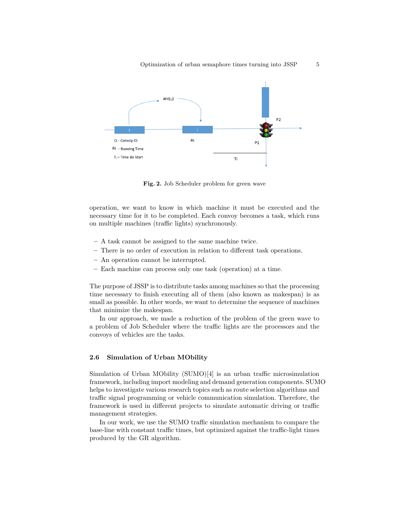

**Fig. 2.** Job Scheduler problem for green wave

operation, we want to know in which machine it must be executed and the necessary time for it to be completed. Each convoy becomes a task, which runs on multiple machines (traffic lights) synchronously.

- **–** A task cannot be assigned to the same machine twice.
- **–** There is no order of execution in relation to different task operations.
- **–** An operation cannot be interrupted.
- **–** Each machine can process only one task (operation) at a time.

The purpose of JSSP is to distribute tasks among machines so that the processing time necessary to finish executing all of them (also known as makespan) is as small as possible. In other words, we want to determine the sequence of machines that minimize the makespan.

In our approach, we made a reduction of the problem of the green wave to a problem of Job Scheduler where the traffic lights are the processors and the convoys of vehicles are the tasks.

### **2.6 Simulation of Urban MObility**

Simulation of Urban MObility (SUMO)[4] is an urban traffic microsimulation framework, including import modeling and demand generation components. SUMO helps to investigate various research topics such as route selection algorithms and traffic signal programming or vehicle communication simulation. Therefore, the framework is used in different projects to simulate automatic driving or traffic management strategies.

In our work, we use the SUMO traffic simulation mechanism to compare the base-line with constant traffic times, but optimized against the traffic-light times produced by the GR algorithm.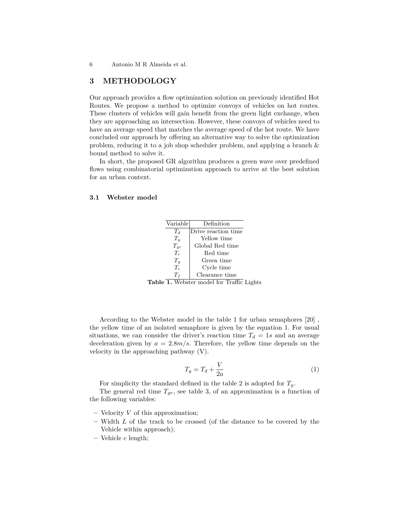# **3 METHODOLOGY**

Our approach provides a flow optimization solution on previously identified Hot Routes. We propose a method to optimize convoys of vehicles on hot routes. These clusters of vehicles will gain benefit from the green light exchange, when they are approaching an intersection. However, these convoys of vehicles need to have an average speed that matches the average speed of the hot route. We have concluded our approach by offering an alternative way to solve the optimization problem, reducing it to a job shop scheduler problem, and applying a branch & bound method to solve it.

In short, the proposed GR algorithm produces a green wave over predefined flows using combinatorial optimization approach to arrive at the best solution for an urban context.

# **3.1 Webster model**

| Variable | Definition          |
|----------|---------------------|
| $T_d$    | Drive reaction time |
| $T_u$    | Yellow time         |
| $T_{qr}$ | Global Red time     |
| $T_r$    | Red time            |
| $T_g$    | Green time          |
| $T_c$    | Cycle time          |
| $T_f$    | Clearance time      |

Table 1. Webster model for Traffic Lights

According to the Webster model in the table 1 for urban semaphores [20] , the yellow time of an isolated semaphore is given by the equation 1. For usual situations, we can consider the driver's reaction time  $T_d = 1s$  and an average deceleration given by  $a = 2.8m/s$ . Therefore, the yellow time depends on the velocity in the approaching pathway (V).

$$
T_y = T_d + \frac{V}{2a} \tag{1}
$$

For simplicity the standard defined in the table 2 is adopted for *Ty*.

The general red time  $T_{gr}$ , see table 3, of an approximation is a function of the following variables:

- **–** Velocity *V* of this approximation;
- **–** Width *L* of the track to be crossed (of the distance to be covered by the Vehicle within approach);
- **–** Vehicle *c* length;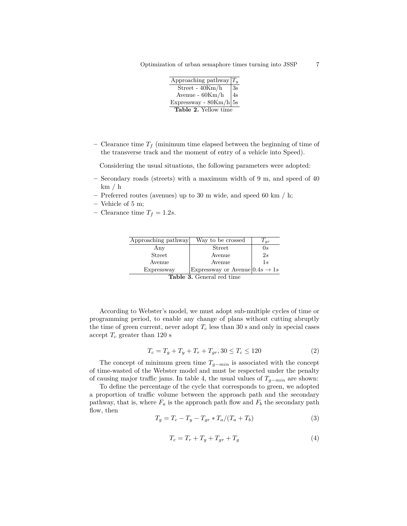Optimization of urban semaphore times turning into JSSP 7

| Approaching pathway $T_u$ |    |  |
|---------------------------|----|--|
| Street - $40Km/h$         | 3s |  |
| Avenue - $60Km/h$         | 4s |  |
| Expressway - $80Km/h$ 5s  |    |  |
| Table 2. Yellow time      |    |  |

**–** Clearance time *T<sup>f</sup>* (minimum time elapsed between the beginning of time of the transverse track and the moment of entry of a vehicle into Speed).

Considering the usual situations, the following parameters were adopted:

- **–** Secondary roads (streets) with a maximum width of 9 m, and speed of 40  $km / h$
- **–** Preferred routes (avenues) up to 30 m wide, and speed 60 km / h;
- **–** Vehicle of 5 m;
- $-$  Clearance time  $T_f = 1.2s$ .

| Approaching pathway | Way to be crossed                          | $I_{qr}$ |
|---------------------|--------------------------------------------|----------|
| Any                 | Street                                     | 0s       |
| Street              | Avenue                                     | 2s       |
| Avenue              | Avenue                                     | 1.s      |
| Expressway          | Expressway or Avenue $0.4s \rightarrow 1s$ |          |
|                     | $\bigcap$ 1  1                             |          |

**Table 3.** General red time

According to Webster's model, we must adopt sub-multiple cycles of time or programming period, to enable any change of plans without cutting abruptly the time of green current, never adopt  $T_c$  less than 30 s and only in special cases accept  $T_c$  greater than 120 s

$$
T_c = T_g + T_y + T_r + T_{gr}, 30 \le T_c \le 120
$$
\n<sup>(2)</sup>

The concept of minimum green time *Tg*−*min* is associated with the concept of time-wasted of the Webster model and must be respected under the penalty of causing major traffic jams. In table 4, the usual values of *Tg*−*min* are shown:

To define the percentage of the cycle that corresponds to green, we adopted a proportion of traffic volume between the approach path and the secondary pathway, that is, where  $F_a$  is the approach path flow and  $F_b$  the secondary path flow, then

$$
T_g = T_c - T_y - T_{gr} * T_a / (T_a + T_b)
$$
\n(3)

$$
T_c = T_r + T_y + T_{gr} + T_g \tag{4}
$$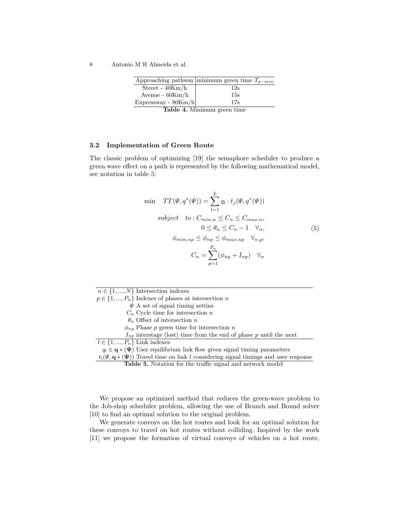|                       | Approaching pathway minimum green time $T_{q-min}$ |
|-----------------------|----------------------------------------------------|
| Street - $40Km/h$     | 12s                                                |
| Avenue - $60Km/h$     | 15s                                                |
| Expressway - $80Km/h$ | 17s                                                |
|                       |                                                    |

**Table 4.** Minimum green time

### **3.2 Implementation of Green Route**

The classic problem of optimizing [19] the semaphore scheduler to produce a green wave effect on a path is represented by the following mathematical model, see notation in table 5:

$$
\min \quad TT(\Psi, q^*(\Psi)) = \sum_{l=1}^{L} q_l \cdot t_j(\Psi, q^*(\Psi))
$$
\n
$$
subject \quad to: C_{min,n} \le C_n \le C_{max,n},
$$
\n
$$
0 \le \theta_n \le C_n - 1 \quad \forall_n,
$$
\n
$$
\phi_{min, np} \le \phi_{np} \le \phi_{max, np} \quad \forall_{n, p},
$$
\n
$$
C_n = \sum_{p=1}^{P_n} (\phi_{np} + I_{np}) \quad \forall_n
$$
\n(5)

|                                   | $n \in \{1, , N\}$ Intersection indexes                                                             |
|-----------------------------------|-----------------------------------------------------------------------------------------------------|
|                                   | $p \in \{1, , P_n\}$ Indexes of phases at intersection n                                            |
|                                   | $\Psi$ A set of signal timing setting                                                               |
|                                   | $C_n$ Cycle time for intersection n                                                                 |
|                                   | $\theta_n$ Offset of intersection n                                                                 |
|                                   | $\phi_{np}$ Phase p green time for intersection n                                                   |
|                                   | $I_{np}$ interstage (lost) time from the end of phase p until the next                              |
| $l \in \{1, , P_n\}$ Link indexes |                                                                                                     |
|                                   | $q_l \in \mathbf{q} * (\mathbf{\Psi})$ User equilibrium link flow given signal timing parameters    |
|                                   | $t_l(\Psi, \mathbf{q} * (\Psi))$ Travel time on link l considering signal timings and user response |

**Table 5.** Notation for the traffic signal and network model

We propose an optimized method that reduces the green-wave problem to the Job-shop scheduler problem, allowing the use of Branch and Bound solver [10] to find an optimal solution to the original problem.

We generate convoys on the hot routes and look for an optimal solution for these convoys to travel on hot routes without colliding. Inspired by the work [11] we propose the formation of virtual convoys of vehicles on a hot route,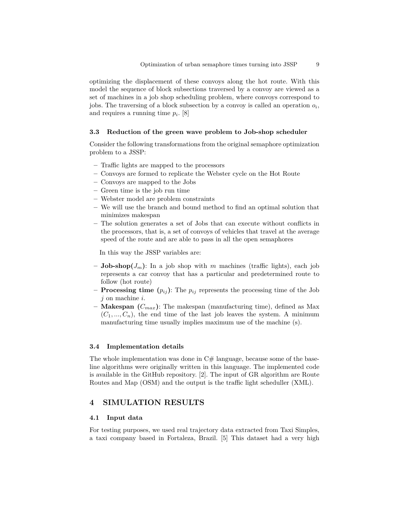optimizing the displacement of these convoys along the hot route. With this model the sequence of block subsections traversed by a convoy are viewed as a set of machines in a job shop scheduling problem, where convoys correspond to jobs. The traversing of a block subsection by a convoy is called an operation *o<sup>i</sup>* , and requires a running time *p<sup>i</sup>* . [8]

#### **3.3 Reduction of the green wave problem to Job-shop scheduler**

Consider the following transformations from the original semaphore optimization problem to a JSSP:

- **–** Traffic lights are mapped to the processors
- **–** Convoys are formed to replicate the Webster cycle on the Hot Route
- **–** Convoys are mapped to the Jobs
- **–** Green time is the job run time
- **–** Webster model are problem constraints
- **–** We will use the branch and bound method to find an optimal solution that minimizes makespan
- **–** The solution generates a set of Jobs that can execute without conflicts in the processors, that is, a set of convoys of vehicles that travel at the average speed of the route and are able to pass in all the open semaphores

In this way the JSSP variables are:

- $-$  **Job-shop** $(J_m)$ : In a job shop with *m* machines (traffic lights), each job represents a car convoy that has a particular and predetermined route to follow (hot route)
- $-$  **Processing time**  $(p_{ij})$ : The  $p_{ij}$  represents the processing time of the Job *j* on machine *i*.
- **– Makespan (***Cmax***)**: The makespan (manufacturing time), defined as Max  $(C_1, ..., C_n)$ , the end time of the last job leaves the system. A minimum manufacturing time usually implies maximum use of the machine (s).

### **3.4 Implementation details**

The whole implementation was done in  $C#$  language, because some of the baseline algorithms were originally written in this language. The implemented code is available in the GitHub repository. [2]. The input of GR algorithm are Route Routes and Map (OSM) and the output is the traffic light scheduller (XML).

# **4 SIMULATION RESULTS**

### **4.1 Input data**

For testing purposes, we used real trajectory data extracted from Taxi Simples, a taxi company based in Fortaleza, Brazil. [5] This dataset had a very high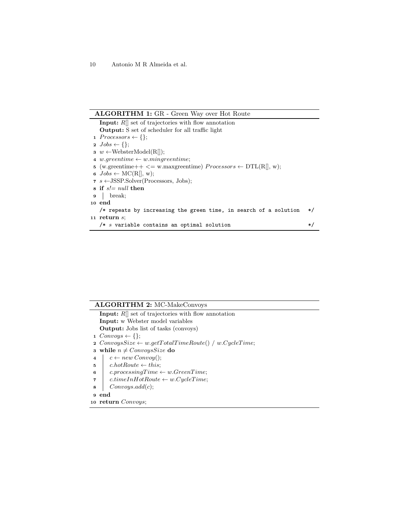# **ALGORITHM 1:** GR - Green Way over Hot Route

**Input:** *R*[] set of trajectories with flow annotation **Output:** S set of scheduler for all traffic light 1  $Processors \leftarrow \{\};$  $2 \text{ Jobs} \leftarrow \{\};$ **3**  $w$  ←WebsterModel(R[]); **4**  $w \cdot \text{greentime} \leftarrow w \cdot \text{unique} \cdot \text{time};$ **5** (w.greentime++  $\leq$  w.maxgreentime)  $Processors \leftarrow DTL(R[], w);$  $\mathbf{6}$  *Jobs*  $\leftarrow \text{MC}(R[\,, w);$ **<sup>7</sup>** *s* ←JSSP.Solver(Processors, Jobs); **<sup>8</sup> if** *s!= null* **then <sup>9</sup>** break; **<sup>10</sup> end** /\* repeats by increasing the green time, in search of a solution \*/ **<sup>11</sup> return** *s*; /\* *s* variable contains an optimal solution \*/

# **ALGORITHM 2:** MC-MakeConvoys

**Input:** *R*[] set of trajectories with flow annotation **Input:** w Webster model variables **Output:** Jobs list of tasks (convoys)  $Convoys \leftarrow \{\};$  $ConvoysSize \leftarrow w.getTotalTime Route() / w.CycleTime;$  **while**  $n \neq ConvoysSize$  **do**   $\vert \quad c \leftarrow new Convoy();$  *c.hotRoute*  $\leftarrow$  *this*;  $\vert$  *c.processingTime*  $\leftarrow$  *w.GreenTime*; *c.timeInHotRoute* ← *w.CycleT ime*; *Convoys.add*(*c*); **<sup>9</sup> end return** *Convoys*;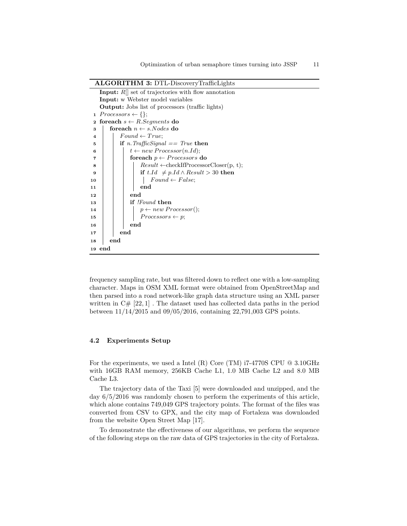# **ALGORITHM 3:** DTL-DiscoveryTrafficLights

|              | <b>Input:</b> $R$ set of trajectories with flow annotation |  |  |  |
|--------------|------------------------------------------------------------|--|--|--|
|              | <b>Input:</b> w Webster model variables                    |  |  |  |
|              | <b>Output:</b> Jobs list of processors (traffic lights)    |  |  |  |
| $\mathbf{1}$ | $Processors \leftarrow \{\};$                              |  |  |  |
| $\mathbf{2}$ | for each $s \leftarrow R$ . Segments do                    |  |  |  |
| 3            | foreach $n \leftarrow s. Nodes$ do                         |  |  |  |
| 4            | $Found\leftarrow True:$                                    |  |  |  |
| 5            | if <i>n.</i> TrafficSignal $==$ True then                  |  |  |  |
| 6            | $t \leftarrow new \, Processor(n.Id);$                     |  |  |  |
| 7            | foreach $p \leftarrow Processors$ do                       |  |  |  |
| 8            | $Result \leftarrow checkIfProcessorClosec(b, t);$          |  |  |  |
| 9            | if t.Id $\neq$ p.Id $\land$ Result $>$ 30 then             |  |  |  |
| 10           | $Found \leftarrow False;$                                  |  |  |  |
| 11           | end                                                        |  |  |  |
| 12           | end                                                        |  |  |  |
| 13           | if <i>!Found</i> then                                      |  |  |  |
| 14           | $p \leftarrow new \, Processor();$                         |  |  |  |
| 15           | $Processors \leftarrow p;$                                 |  |  |  |
| 16           | end                                                        |  |  |  |
| 17           | end                                                        |  |  |  |
| 18           | end                                                        |  |  |  |
|              | 19 end                                                     |  |  |  |

frequency sampling rate, but was filtered down to reflect one with a low-sampling character. Maps in OSM XML format were obtained from OpenStreetMap and then parsed into a road network-like graph data structure using an XML parser written in  $C# [22,1]$ . The dataset used has collected data paths in the period between 11/14/2015 and 09/05/2016, containing 22,791,003 GPS points.

# **4.2 Experiments Setup**

For the experiments, we used a Intel (R) Core (TM)  $i7-4770S$  CPU  $@3.10GHz$ with 16GB RAM memory, 256KB Cache L1, 1.0 MB Cache L2 and 8.0 MB Cache L3.

The trajectory data of the Taxi [5] were downloaded and unzipped, and the day 6/5/2016 was randomly chosen to perform the experiments of this article, which alone contains 749,049 GPS trajectory points. The format of the files was converted from CSV to GPX, and the city map of Fortaleza was downloaded from the website Open Street Map [17].

To demonstrate the effectiveness of our algorithms, we perform the sequence of the following steps on the raw data of GPS trajectories in the city of Fortaleza.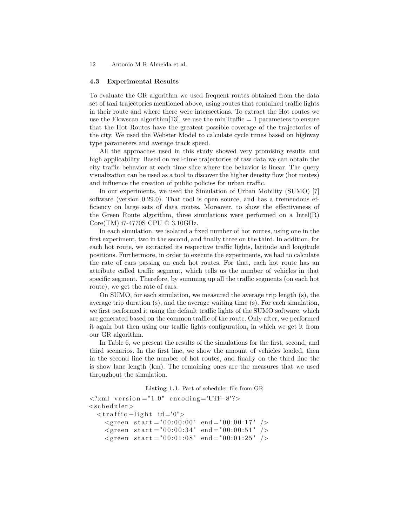#### **4.3 Experimental Results**

To evaluate the GR algorithm we used frequent routes obtained from the data set of taxi trajectories mentioned above, using routes that contained traffic lights in their route and where there were intersections. To extract the Hot routes we use the Flowscan algorithm [13], we use the minTraffic  $= 1$  parameters to ensure that the Hot Routes have the greatest possible coverage of the trajectories of the city. We used the Webster Model to calculate cycle times based on highway type parameters and average track speed.

All the approaches used in this study showed very promising results and high applicability. Based on real-time trajectories of raw data we can obtain the city traffic behavior at each time slice where the behavior is linear. The query visualization can be used as a tool to discover the higher density flow (hot routes) and influence the creation of public policies for urban traffic.

In our experiments, we used the Simulation of Urban Mobility (SUMO) [7] software (version 0.29.0). That tool is open source, and has a tremendous efficiency on large sets of data routes. Moreover, to show the effectiveness of the Green Route algorithm, three simulations were performed on a  $Intel(R)$ Core(TM) i7-4770S CPU @ 3.10GHz.

In each simulation, we isolated a fixed number of hot routes, using one in the first experiment, two in the second, and finally three on the third. In addition, for each hot route, we extracted its respective traffic lights, latitude and longitude positions. Furthermore, in order to execute the experiments, we had to calculate the rate of cars passing on each hot routes. For that, each hot route has an attribute called traffic segment, which tells us the number of vehicles in that specific segment. Therefore, by summing up all the traffic segments (on each hot route), we get the rate of cars.

On SUMO, for each simulation, we measured the average trip length (s), the average trip duration (s), and the average waiting time (s). For each simulation, we first performed it using the default traffic lights of the SUMO software, which are generated based on the common traffic of the route. Only after, we performed it again but then using our traffic lights configuration, in which we get it from our GR algorithm.

In Table 6, we present the results of the simulations for the first, second, and third scenarios. In the first line, we show the amount of vehicles loaded, then in the second line the number of hot routes, and finally on the third line the is show lane length (km). The remaining ones are the measures that we used throughout the simulation.

**Listing 1.1.** Part of scheduler file from GR

```
\langle 2 \times 2 \times 2 \times 1 \rangle version = "1.0" encoding="UTF-8"?>
<scheduler><traffic -light id="0">
     \langlegreen start = "00:00:00" end = "00:00:17" />
     \langlegreen start = "00:00:34" end = "00:00:51" \rangle\langlegreen start = "00:01:08" end = "00:01:25" \rangle
```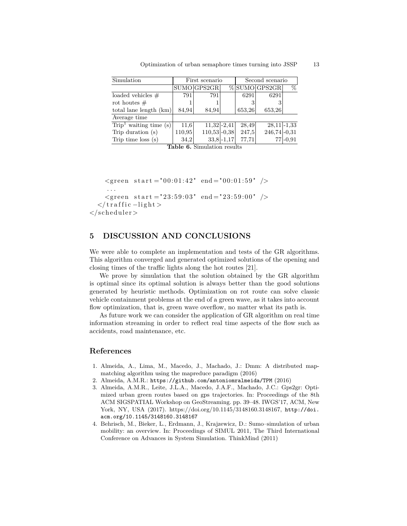| Simulation                                  | First scenario |               | Second scenario |        |                  |      |
|---------------------------------------------|----------------|---------------|-----------------|--------|------------------|------|
|                                             |                | SUMO GPS2GR   |                 |        | $\%$ SUMO GPS2GR | $\%$ |
| loaded vehicles $\#$                        | 791            | 791           |                 | 6291   | 6291             |      |
| rot houtes $#$                              |                |               |                 |        |                  |      |
| total lane length (km)                      | 84,94          | 84,94         |                 | 653.26 | 653,26           |      |
| Average time                                |                |               |                 |        |                  |      |
| $\overline{\text{Trip}^1}$ waiting time (s) | 11,6           | $11,32$ -2,41 |                 | 28,49  | $28,11$ -1,33    |      |

Optimization of urban semaphore times turning into JSSP 13

Trip time loss (s)  $\begin{array}{|l} 34,2 & 33,8 & -1,17 & 77,71 \\ \end{array}$  77,71 77,71 **Table 6.** Simulation results

Trip duration (s) 110,95 110,53 -0,38 247,5 246,74 -0,31

 $\langle$ green start = "00:01:42" end = "00:01:59" /> . . .  $\langle$ green start = "23:59:03" end = "23:59:00" />  $\langle$  traffic −light >  $\langle$ /scheduler>

# **5 DISCUSSION AND CONCLUSIONS**

We were able to complete an implementation and tests of the GR algorithms. This algorithm converged and generated optimized solutions of the opening and closing times of the traffic lights along the hot routes [21].

We prove by simulation that the solution obtained by the GR algorithm is optimal since its optimal solution is always better than the good solutions generated by heuristic methods. Optimization on rot route can solve classic vehicle containment problems at the end of a green wave, as it takes into account flow optimization, that is, green wave overflow, no matter what its path is.

As future work we can consider the application of GR algorithm on real time information streaming in order to reflect real time aspects of the flow such as accidents, road maintenance, etc.

# **References**

- 1. Almeida, A., Lima, M., Macedo, J., Machado, J.: Dmm: A distributed mapmatching algorithm using the mapreduce paradigm (2016)
- 2. Almeida, A.M.R.: https://github.com/antoniomralmeida/TPM (2016)
- 3. Almeida, A.M.R., Leite, J.L.A., Macedo, J.A.F., Machado, J.C.: Gps2gr: Optimized urban green routes based on gps trajectories. In: Proceedings of the 8th ACM SIGSPATIAL Workshop on GeoStreaming. pp. 39–48. IWGS'17, ACM, New York, NY, USA (2017). https://doi.org/10.1145/3148160.3148167, http://doi. acm.org/10.1145/3148160.3148167
- 4. Behrisch, M., Bieker, L., Erdmann, J., Krajzewicz, D.: Sumo–simulation of urban mobility: an overview. In: Proceedings of SIMUL 2011, The Third International Conference on Advances in System Simulation. ThinkMind (2011)